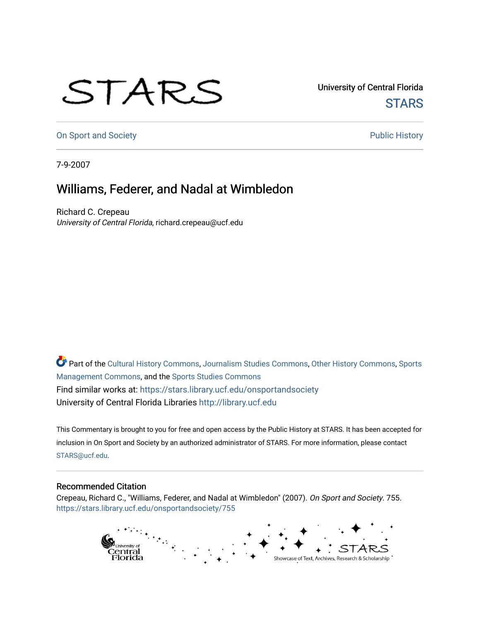## STARS

University of Central Florida **STARS** 

[On Sport and Society](https://stars.library.ucf.edu/onsportandsociety) **Public History** Public History

7-9-2007

## Williams, Federer, and Nadal at Wimbledon

Richard C. Crepeau University of Central Florida, richard.crepeau@ucf.edu

Part of the [Cultural History Commons](http://network.bepress.com/hgg/discipline/496?utm_source=stars.library.ucf.edu%2Fonsportandsociety%2F755&utm_medium=PDF&utm_campaign=PDFCoverPages), [Journalism Studies Commons,](http://network.bepress.com/hgg/discipline/333?utm_source=stars.library.ucf.edu%2Fonsportandsociety%2F755&utm_medium=PDF&utm_campaign=PDFCoverPages) [Other History Commons,](http://network.bepress.com/hgg/discipline/508?utm_source=stars.library.ucf.edu%2Fonsportandsociety%2F755&utm_medium=PDF&utm_campaign=PDFCoverPages) [Sports](http://network.bepress.com/hgg/discipline/1193?utm_source=stars.library.ucf.edu%2Fonsportandsociety%2F755&utm_medium=PDF&utm_campaign=PDFCoverPages) [Management Commons](http://network.bepress.com/hgg/discipline/1193?utm_source=stars.library.ucf.edu%2Fonsportandsociety%2F755&utm_medium=PDF&utm_campaign=PDFCoverPages), and the [Sports Studies Commons](http://network.bepress.com/hgg/discipline/1198?utm_source=stars.library.ucf.edu%2Fonsportandsociety%2F755&utm_medium=PDF&utm_campaign=PDFCoverPages) Find similar works at: <https://stars.library.ucf.edu/onsportandsociety> University of Central Florida Libraries [http://library.ucf.edu](http://library.ucf.edu/) 

This Commentary is brought to you for free and open access by the Public History at STARS. It has been accepted for inclusion in On Sport and Society by an authorized administrator of STARS. For more information, please contact [STARS@ucf.edu](mailto:STARS@ucf.edu).

## Recommended Citation

Crepeau, Richard C., "Williams, Federer, and Nadal at Wimbledon" (2007). On Sport and Society. 755. [https://stars.library.ucf.edu/onsportandsociety/755](https://stars.library.ucf.edu/onsportandsociety/755?utm_source=stars.library.ucf.edu%2Fonsportandsociety%2F755&utm_medium=PDF&utm_campaign=PDFCoverPages)

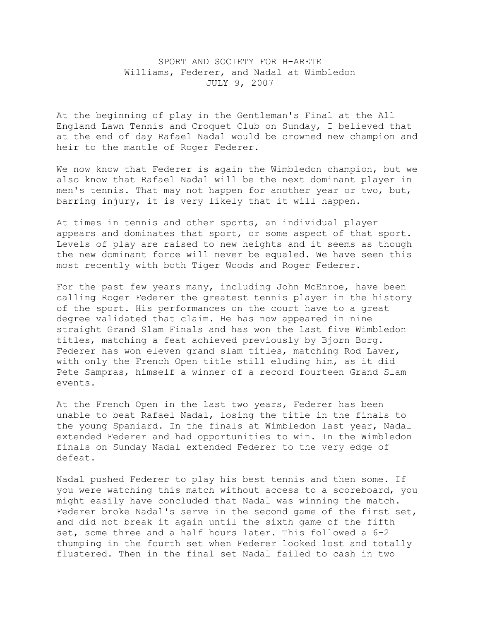## SPORT AND SOCIETY FOR H-ARETE Williams, Federer, and Nadal at Wimbledon JULY 9, 2007

At the beginning of play in the Gentleman's Final at the All England Lawn Tennis and Croquet Club on Sunday, I believed that at the end of day Rafael Nadal would be crowned new champion and heir to the mantle of Roger Federer.

We now know that Federer is again the Wimbledon champion, but we also know that Rafael Nadal will be the next dominant player in men's tennis. That may not happen for another year or two, but, barring injury, it is very likely that it will happen.

At times in tennis and other sports, an individual player appears and dominates that sport, or some aspect of that sport. Levels of play are raised to new heights and it seems as though the new dominant force will never be equaled. We have seen this most recently with both Tiger Woods and Roger Federer.

For the past few years many, including John McEnroe, have been calling Roger Federer the greatest tennis player in the history of the sport. His performances on the court have to a great degree validated that claim. He has now appeared in nine straight Grand Slam Finals and has won the last five Wimbledon titles, matching a feat achieved previously by Bjorn Borg. Federer has won eleven grand slam titles, matching Rod Laver, with only the French Open title still eluding him, as it did Pete Sampras, himself a winner of a record fourteen Grand Slam events.

At the French Open in the last two years, Federer has been unable to beat Rafael Nadal, losing the title in the finals to the young Spaniard. In the finals at Wimbledon last year, Nadal extended Federer and had opportunities to win. In the Wimbledon finals on Sunday Nadal extended Federer to the very edge of defeat.

Nadal pushed Federer to play his best tennis and then some. If you were watching this match without access to a scoreboard, you might easily have concluded that Nadal was winning the match. Federer broke Nadal's serve in the second game of the first set, and did not break it again until the sixth game of the fifth set, some three and a half hours later. This followed a 6-2 thumping in the fourth set when Federer looked lost and totally flustered. Then in the final set Nadal failed to cash in two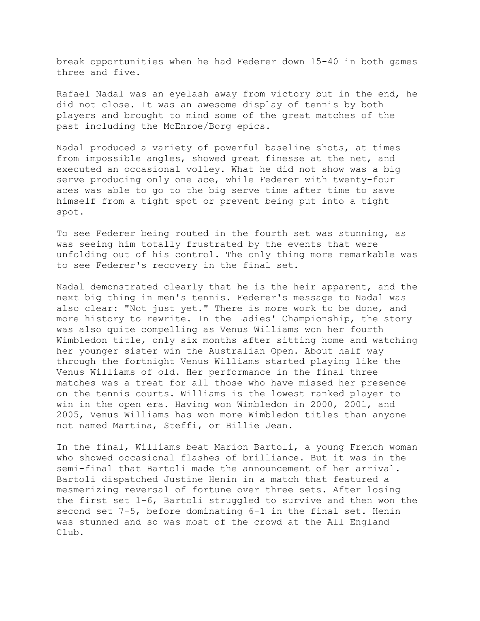break opportunities when he had Federer down 15-40 in both games three and five.

Rafael Nadal was an eyelash away from victory but in the end, he did not close. It was an awesome display of tennis by both players and brought to mind some of the great matches of the past including the McEnroe/Borg epics.

Nadal produced a variety of powerful baseline shots, at times from impossible angles, showed great finesse at the net, and executed an occasional volley. What he did not show was a big serve producing only one ace, while Federer with twenty-four aces was able to go to the big serve time after time to save himself from a tight spot or prevent being put into a tight spot.

To see Federer being routed in the fourth set was stunning, as was seeing him totally frustrated by the events that were unfolding out of his control. The only thing more remarkable was to see Federer's recovery in the final set.

Nadal demonstrated clearly that he is the heir apparent, and the next big thing in men's tennis. Federer's message to Nadal was also clear: "Not just yet." There is more work to be done, and more history to rewrite. In the Ladies' Championship, the story was also quite compelling as Venus Williams won her fourth Wimbledon title, only six months after sitting home and watching her younger sister win the Australian Open. About half way through the fortnight Venus Williams started playing like the Venus Williams of old. Her performance in the final three matches was a treat for all those who have missed her presence on the tennis courts. Williams is the lowest ranked player to win in the open era. Having won Wimbledon in 2000, 2001, and 2005, Venus Williams has won more Wimbledon titles than anyone not named Martina, Steffi, or Billie Jean.

In the final, Williams beat Marion Bartoli, a young French woman who showed occasional flashes of brilliance. But it was in the semi-final that Bartoli made the announcement of her arrival. Bartoli dispatched Justine Henin in a match that featured a mesmerizing reversal of fortune over three sets. After losing the first set 1-6, Bartoli struggled to survive and then won the second set 7-5, before dominating 6-1 in the final set. Henin was stunned and so was most of the crowd at the All England Club.